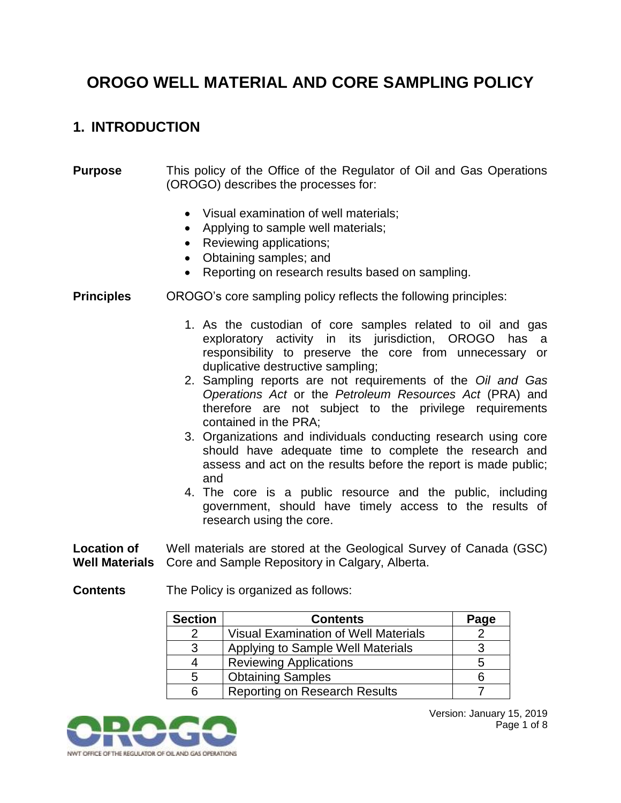# **OROGO WELL MATERIAL AND CORE SAMPLING POLICY**

### **1. INTRODUCTION**

#### **Purpose** This policy of the Office of the Regulator of Oil and Gas Operations (OROGO) describes the processes for:

- Visual examination of well materials;
- Applying to sample well materials:
- Reviewing applications;
- Obtaining samples; and
- Reporting on research results based on sampling.
- **Principles** OROGO's core sampling policy reflects the following principles:
	- 1. As the custodian of core samples related to oil and gas exploratory activity in its jurisdiction, OROGO has a responsibility to preserve the core from unnecessary or duplicative destructive sampling;
	- 2. Sampling reports are not requirements of the *Oil and Gas Operations Act* or the *Petroleum Resources Act* (PRA) and therefore are not subject to the privilege requirements contained in the PRA;
	- 3. Organizations and individuals conducting research using core should have adequate time to complete the research and assess and act on the results before the report is made public; and
	- 4. The core is a public resource and the public, including government, should have timely access to the results of research using the core.

**Location of Well Materials** Well materials are stored at the Geological Survey of Canada (GSC) Core and Sample Repository in Calgary, Alberta.

**Contents** The Policy is organized as follows:

| <b>Section</b> | <b>Contents</b>                             | Page |
|----------------|---------------------------------------------|------|
|                | <b>Visual Examination of Well Materials</b> |      |
| -3             | Applying to Sample Well Materials           |      |
|                | <b>Reviewing Applications</b>               | 5    |
| 5              | <b>Obtaining Samples</b>                    |      |
|                | <b>Reporting on Research Results</b>        |      |

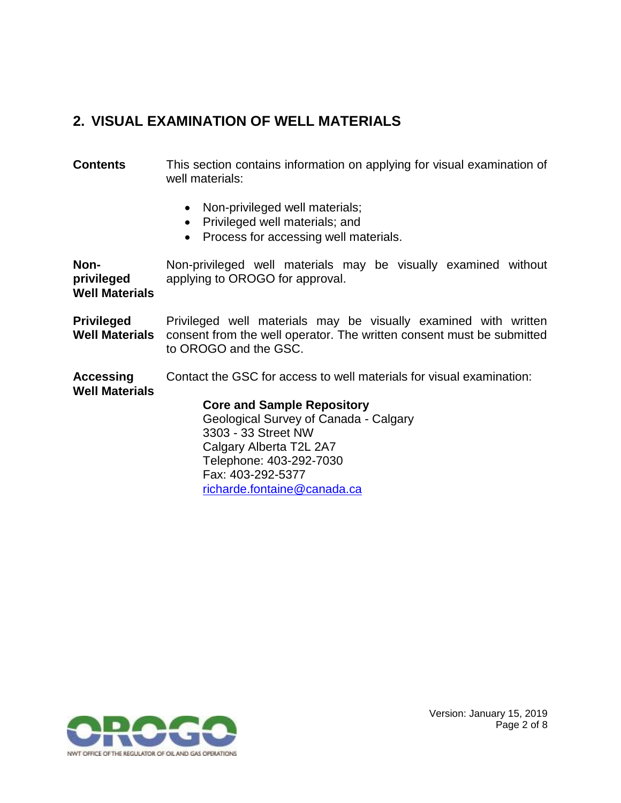## **2. VISUAL EXAMINATION OF WELL MATERIALS**

**Contents** This section contains information on applying for visual examination of well materials:

- Non-privileged well materials;
- Privileged well materials; and

Fax: 403-292-5377

[richarde.fontaine@canada.ca](file:///C:/Users/pdejong/AppData/Roaming/OpenText/OTEdit/EC_content_server/c63754924/richarde.fontaine@canada.ca)

• Process for accessing well materials.

**Nonprivileged Well Materials** Non-privileged well materials may be visually examined without applying to OROGO for approval. **Privileged Well Materials** Privileged well materials may be visually examined with written consent from the well operator. The written consent must be submitted to OROGO and the GSC. **Accessing Well Materials** Contact the GSC for access to well materials for visual examination: **Core and Sample Repository** Geological Survey of Canada - Calgary 3303 - 33 Street NW Calgary Alberta T2L 2A7 Telephone: 403-292-7030



Version: January 15, 2019 Page 2 of 8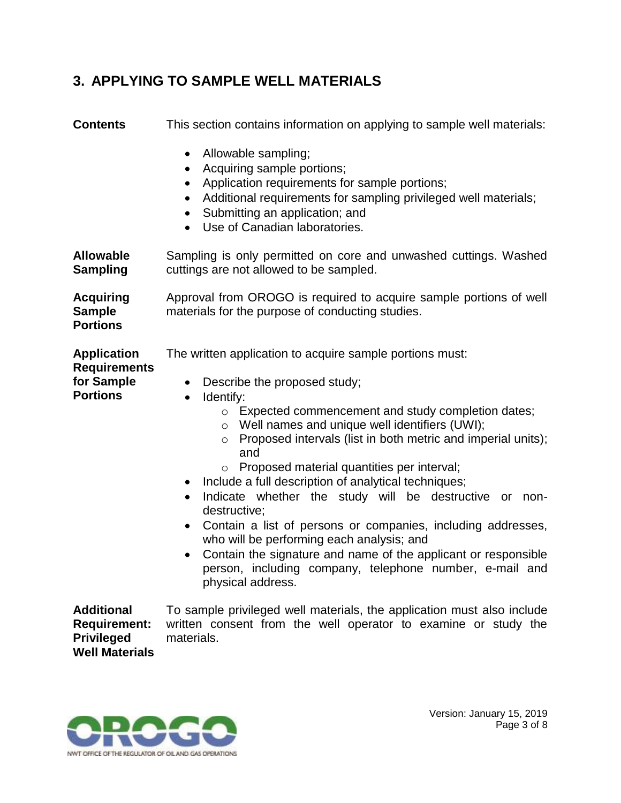### **3. APPLYING TO SAMPLE WELL MATERIALS**

| <b>Contents</b>                                                                        | This section contains information on applying to sample well materials:                                                                                                                                                                                                                                                                                                                                                                                                                                                                                                                                                                                                                                                                                                                                                       |  |  |
|----------------------------------------------------------------------------------------|-------------------------------------------------------------------------------------------------------------------------------------------------------------------------------------------------------------------------------------------------------------------------------------------------------------------------------------------------------------------------------------------------------------------------------------------------------------------------------------------------------------------------------------------------------------------------------------------------------------------------------------------------------------------------------------------------------------------------------------------------------------------------------------------------------------------------------|--|--|
|                                                                                        | Allowable sampling;<br>$\bullet$<br>Acquiring sample portions;<br>$\bullet$<br>Application requirements for sample portions;<br>٠<br>Additional requirements for sampling privileged well materials;<br>$\bullet$<br>Submitting an application; and<br>$\bullet$<br>Use of Canadian laboratories.<br>$\bullet$                                                                                                                                                                                                                                                                                                                                                                                                                                                                                                                |  |  |
| <b>Allowable</b><br><b>Sampling</b>                                                    | Sampling is only permitted on core and unwashed cuttings. Washed<br>cuttings are not allowed to be sampled.                                                                                                                                                                                                                                                                                                                                                                                                                                                                                                                                                                                                                                                                                                                   |  |  |
| <b>Acquiring</b><br><b>Sample</b><br><b>Portions</b>                                   | Approval from OROGO is required to acquire sample portions of well<br>materials for the purpose of conducting studies.                                                                                                                                                                                                                                                                                                                                                                                                                                                                                                                                                                                                                                                                                                        |  |  |
| <b>Application</b><br><b>Requirements</b><br>for Sample<br><b>Portions</b>             | The written application to acquire sample portions must:<br>Describe the proposed study;<br>$\bullet$<br>Identify:<br>$\bullet$<br>○ Expected commencement and study completion dates;<br>Well names and unique well identifiers (UWI);<br>$\circ$<br>Proposed intervals (list in both metric and imperial units);<br>$\circ$<br>and<br>Proposed material quantities per interval;<br>$\circ$<br>Include a full description of analytical techniques;<br>٠<br>Indicate whether the study will be destructive or non-<br>$\bullet$<br>destructive;<br>Contain a list of persons or companies, including addresses,<br>$\bullet$<br>who will be performing each analysis; and<br>Contain the signature and name of the applicant or responsible<br>person, including company, telephone number, e-mail and<br>physical address. |  |  |
| <b>Additional</b><br><b>Requirement:</b><br><b>Privileged</b><br><b>Well Materials</b> | To sample privileged well materials, the application must also include<br>written consent from the well operator to examine or study the<br>materials.                                                                                                                                                                                                                                                                                                                                                                                                                                                                                                                                                                                                                                                                        |  |  |

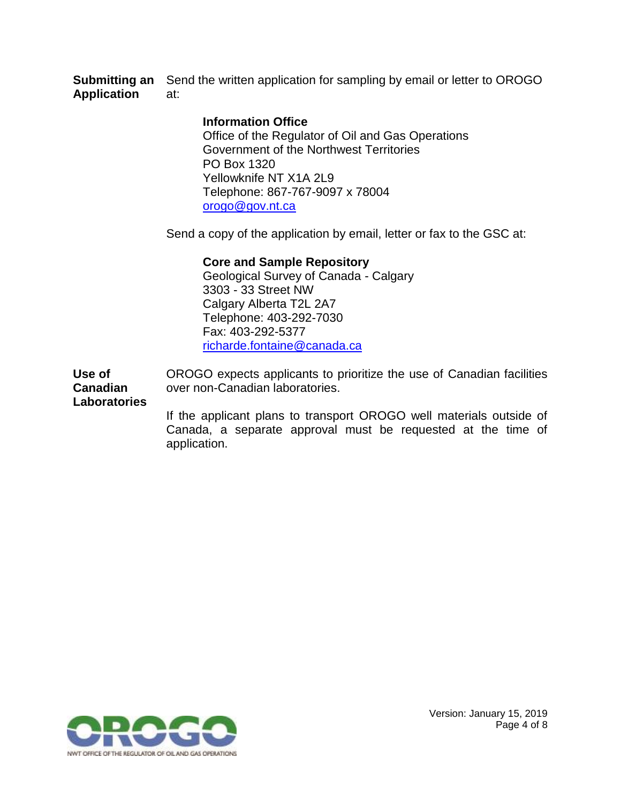**Submitting an** Send the written application for sampling by email or letter to OROGO **Application** at:

#### **Information Office**

Office of the Regulator of Oil and Gas Operations Government of the Northwest Territories PO Box 1320 Yellowknife NT X1A 2L9 Telephone: 867-767-9097 x 78004 [orogo@gov.nt.ca](file:///C:/Users/pdejong/AppData/Roaming/OpenText/OTEdit/EC_content_server/c63754924/mailto_orogo@gov.nt.ca)

Send a copy of the application by email, letter or fax to the GSC at:

### **Core and Sample Repository**

Geological Survey of Canada - Calgary 3303 - 33 Street NW Calgary Alberta T2L 2A7 Telephone: 403-292-7030 Fax: 403-292-5377 [richarde.fontaine@canada.ca](file:///C:/Users/pdejong/AppData/Roaming/OpenText/OTEdit/EC_content_server/c63754924/richarde.fontaine@canada.ca)

**Use of Canadian**  OROGO expects applicants to prioritize the use of Canadian facilities over non-Canadian laboratories.

**Laboratories**

If the applicant plans to transport OROGO well materials outside of Canada, a separate approval must be requested at the time of application.



Version: January 15, 2019 Page 4 of 8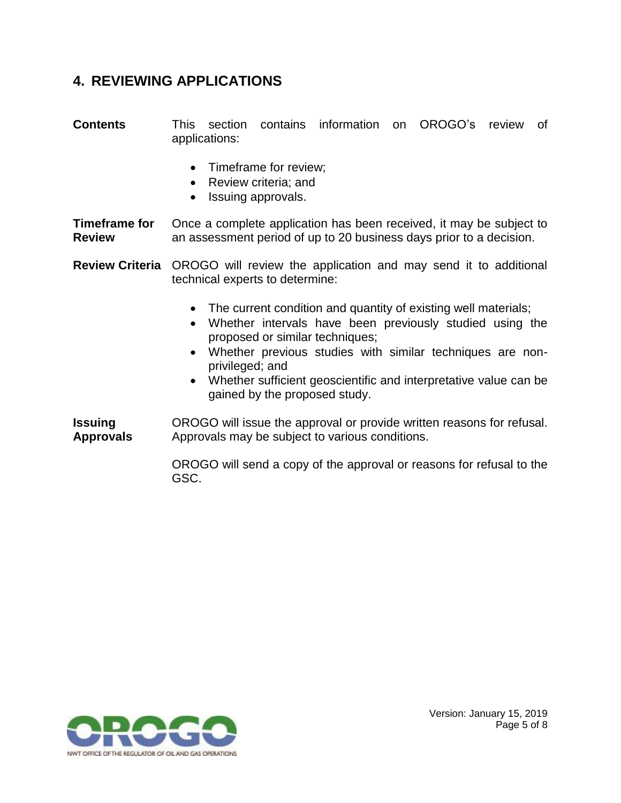### **4. REVIEWING APPLICATIONS**

**Contents** This section contains information on OROGO's review of applications:

- Timeframe for review;
- Review criteria; and
- Issuing approvals.

**Timeframe for Review** Once a complete application has been received, it may be subject to an assessment period of up to 20 business days prior to a decision.

**Review Criteria** OROGO will review the application and may send it to additional technical experts to determine:

- The current condition and quantity of existing well materials;
- Whether intervals have been previously studied using the proposed or similar techniques;
- Whether previous studies with similar techniques are nonprivileged; and
- Whether sufficient geoscientific and interpretative value can be gained by the proposed study.

**Issuing Approvals** OROGO will issue the approval or provide written reasons for refusal. Approvals may be subject to various conditions.

> OROGO will send a copy of the approval or reasons for refusal to the GSC.

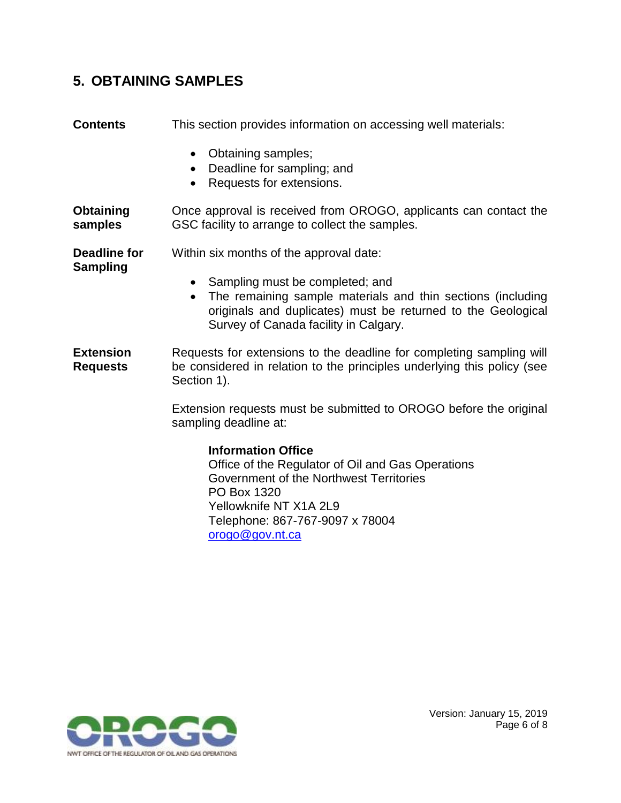### **5. OBTAINING SAMPLES**

| <b>Contents</b>                     | This section provides information on accessing well materials:                                                                                                                                                                    |  |
|-------------------------------------|-----------------------------------------------------------------------------------------------------------------------------------------------------------------------------------------------------------------------------------|--|
|                                     | Obtaining samples;<br>$\bullet$<br>Deadline for sampling; and<br>$\bullet$<br>Requests for extensions.<br>$\bullet$                                                                                                               |  |
| Obtaining<br>samples                | Once approval is received from OROGO, applicants can contact the<br>GSC facility to arrange to collect the samples.                                                                                                               |  |
| <b>Deadline for</b>                 | Within six months of the approval date:                                                                                                                                                                                           |  |
| Sampling                            | Sampling must be completed; and<br>$\bullet$<br>The remaining sample materials and thin sections (including<br>$\bullet$<br>originals and duplicates) must be returned to the Geological<br>Survey of Canada facility in Calgary. |  |
| <b>Extension</b><br><b>Requests</b> | Requests for extensions to the deadline for completing sampling will<br>be considered in relation to the principles underlying this policy (see<br>Section 1).                                                                    |  |
|                                     | Extension requests must be submitted to OROGO before the original<br>sampling deadline at:                                                                                                                                        |  |
|                                     | <b>Information Office</b><br>Office of the Regulator of Oil and Gas Operations<br>Government of the Northwest Territories<br>PO Box 1320<br>Yellowknife NT X1A 2L9<br>Telephone: 867-767-9097 x 78004                             |  |

[orogo@gov.nt.ca](file:///C:/Users/pdejong/AppData/Roaming/OpenText/OTEdit/EC_content_server/c63754924/mailto_orogo@gov.nt.ca)

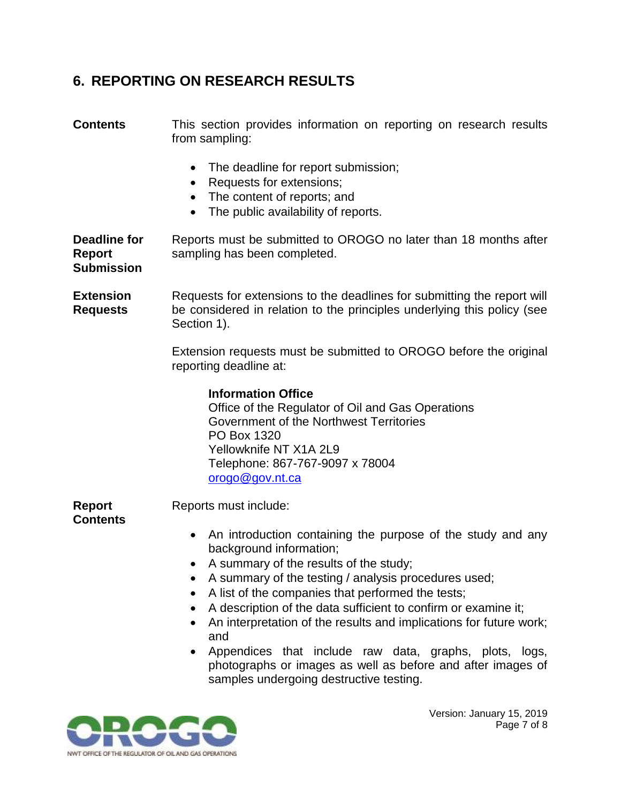### **6. REPORTING ON RESEARCH RESULTS**

**Contents** This section provides information on reporting on research results from sampling: • The deadline for report submission; • Requests for extensions; • The content of reports; and • The public availability of reports. **Deadline for Report Submission** Reports must be submitted to OROGO no later than 18 months after sampling has been completed. **Extension Requests** Requests for extensions to the deadlines for submitting the report will be considered in relation to the principles underlying this policy (see Section 1). Extension requests must be submitted to OROGO before the original reporting deadline at: **Information Office** Office of the Regulator of Oil and Gas Operations Government of the Northwest Territories PO Box 1320 Yellowknife NT X1A 2L9 Telephone: 867-767-9097 x 78004 [orogo@gov.nt.ca](file:///C:/Users/pdejong/AppData/Roaming/OpenText/OTEdit/EC_content_server/c63754924/mailto_orogo@gov.nt.ca) **Report Contents** Reports must include: • An introduction containing the purpose of the study and any background information; A summary of the results of the study; A summary of the testing / analysis procedures used; A list of the companies that performed the tests; A description of the data sufficient to confirm or examine it; An interpretation of the results and implications for future work; and Appendices that include raw data, graphs, plots, logs, photographs or images as well as before and after images of samples undergoing destructive testing.